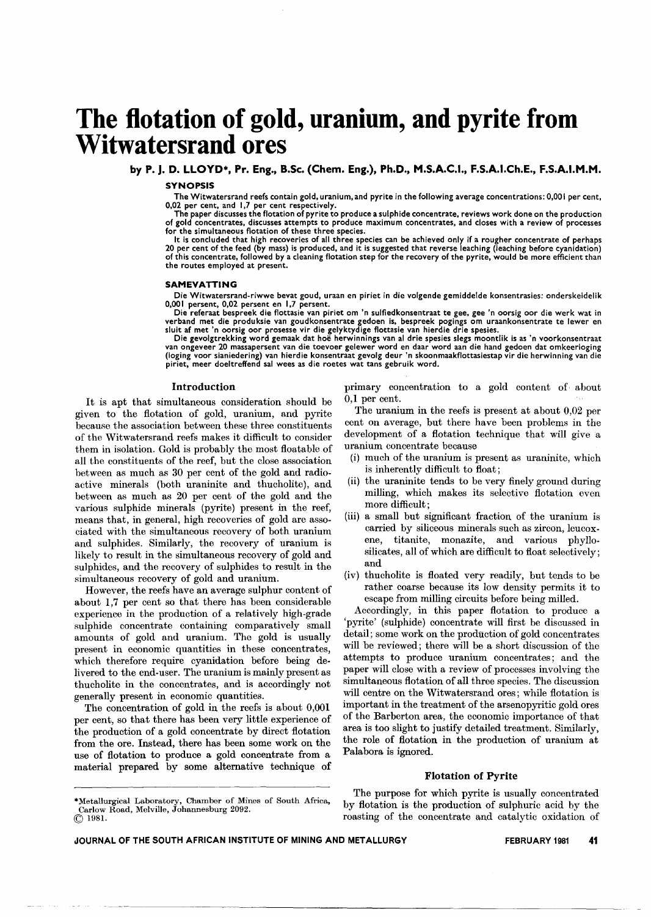# **The flotation of gold, uranium, and pyrite from Witwatersrand ores**

by P. J. D. LLOYD\*, Pr. Eng., B.Sc. (Chem. Eng.), Ph.D., M.S.A.C.I., F.S.A.I.Ch.E., F.S.A.I.M.M.

#### SYNOPSIS

The Witwatersrand reefs contain gold, uranium, and pyrite in the following average concentrations: 0,001 per cent, 0,02 per cent, and 1,7 per cent respectively.

The paper discusses the flotation of pyrite to produce a sulphide concentrate, reviews work done on the productio<br>of gold concentrates, discusses attempts to produce maximum concentrates, and closes with a review of proces for the simultaneous flotation of these three species.

It is concluded that high recoveries of all three species can be achieved only if a rougher concentrate of perhaps 20 per cent of the feed (by mass) is produced, and it is suggested that reverse leaching (leaching before cyanidation<br>of this concentrate, followed by a cleaning flotation step for the recovery of the pyrite, would be more the routes employed at present.

#### SAMEVATTING

Die Witwatersrand-riwwe bevat goud, uraan en piriet in die volgende gemiddelde konsentrasies: onderskeidel<br>0,001 persent, 0,02 persent en 1,7 persent.

Die referaat bespreek die flottasie van piriet om 'n sulfiedkonsentraat te gee, gee 'n oorsig oor die werk wat in verband met die produksie van goudkonsentrate gedoen is, bespreek pogings om uraankonsentrate te lewer en<br>sluit af met 'n oorsig oor prosesse vir die gelyktydige flottasie van hierdie drie spesies.

Die gevolgtrekking word gemaak dat hoe herwinnings van al drie spesies slegs moontlik is as 'n voorkonsentraat van ongeveer 20 massapersent van die toevoer gelewer word en daar word aan die hand gedoen dat omkeerloging (loging voor sianiedering) van hierdie konsentraat gevolg deur 'n skoonmaakflottasiestap vir die herwinning van die piriet, meer doeltreffend sal wees as die roetes wat tans gebruik word.

#### Introduction

It is apt that simultaneous consideration should be given to the flotation of gold, uranium, and pyrite because the association between these three constituents of the Witwatersrand reefs makes it difficult to consider them in isolation. Gold is probably the most floatable of all the constituents of the reef, but the close association between as much as 30 per cent of the gold and radioactive minerals (both uraninite and thucholite), and between as much as 20 per cent of the gold and the various sulphide minerals (pyrite) present in the reef, means that, in general, high recoveries of gold are associated with the simultaneous recovery of both uranium and sulphides. Similarly, the recovery of uranium is likely to result in the simultaneous recovery of gold and sulphides, and the recovery of sulphides to result in the simultaneous recovery of gold and uranium.

However, the reefs have an average sulphur content of about 1,7 per cent so that there has been considerable experience in the production of a relatively high-grade sulphide concentrate containing comparatively small amounts of gold and uranium. The gold is usually present in economic quantities in these concentrates, which therefore require cyanidation before being delivered to the end-user. The uranium is mainly present as thucholite in the concentrates, and is accordingly not generally present in economic quantities.

The concentration of gold in the reefs is about 0,001 per cent, so that there has been very little experience of the production of a gold concentrate by direct flotation from the ore. Instead, there has been some work on the use of flotation to produce a gold concentrate from a material prepared by some alternative technique of primary concentration to a gold content of about 0,1 per cent.

The uranium in the reefs is present at about 0,02 per cent on average, but there have been problems in the development of a flotation technique that will give a uranium concentrate because

- (i) much of the uranium is present as uraninite, which is inherently difficult to float;
- (ii) the uraninite tends to be very finely ground during milling, which makes its selective flotation even more difficult;
- (iii) a small but significant fraction of the uranium is carried by siliceous minerals such as zircon, leucoxene, titanite, monazite, and various phyllosilicates, all of which are difficult to float selectively; and
- (iv) thucholite is floated very readily, but tends to be rather coarse because its low density permits it to escape from milling circuits before being milled.

Accordingly, in this paper flotation to produce a 'pyrite' (sulphide) concentrate will first be discussed in detail; some work on the production of gold concentrates will be reviewed; there will be a short discussion of the attempts to produce uranium concentrates; and the paper will close with a review of processes involving the simultaneous flotation of all three species. The discussion will centre on the Witwatersrand ores; while flotation is important in the treatment of the arsenopyritic gold ores of the Barberton area, the economic importance of that area is too slight to justify detailed treatment. Similarly, the role of flotation in the production of uranium at Palabora is ignored.

#### Flotation of Pyrite

The purpose for which pyrite is usually concentrated by flotation is the production of sulphuric acid by the roasting of the concentrate and catalytic oxidation of

<sup>\*</sup>Metallurgical Laboratory, Chamber of Mines of South Africa, Carlow Road, Melville, Johannesburg 2092, @ 1981.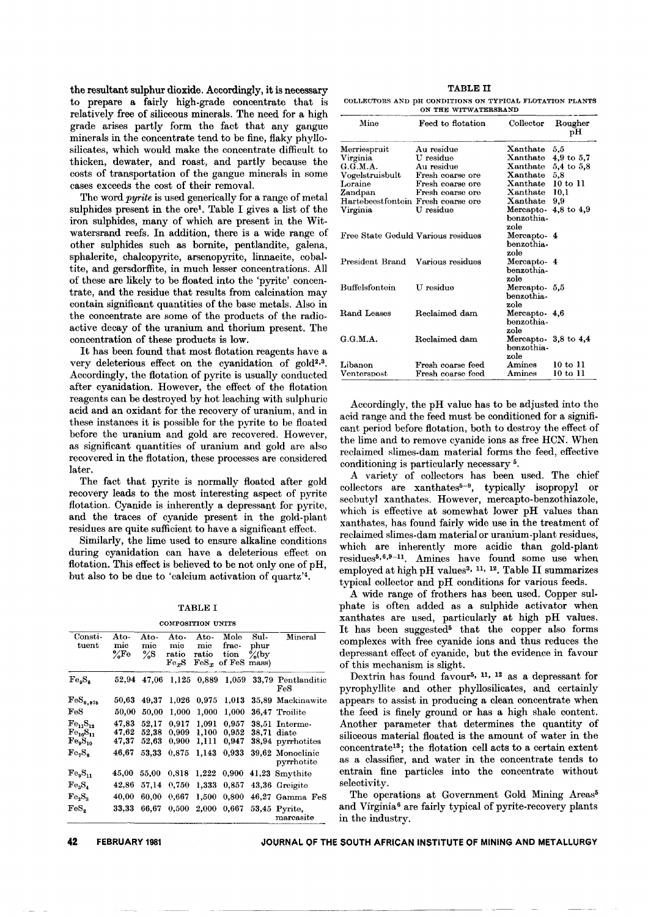the resultant sulphur dioxide. Accordingly, it is necessary to prepare a fairly high-grade concentrate that is relatively free of siliceous minerals. The need for a high grade arises partly form the fact that any gangue minerals in the concentrate tend to be fine, flaky phyllosilicates, which would make the concentrate difficult to thicken, dewater, and roast, and partly because the costs of transportation of the gangue minerals in some cases exceeds the cost of their removal.

The word *pyrite* is used generically for a range of metal sulphides present in the ore1. Table I gives a list of the iron sulphides, many of which are present in the Witwatersrand reefs. In addition, there is a wide range of other sulphides such as bornite, pentlandite, galena, sphalerite, chalcopyrite, arsenopyrite, linnaeite, cobaltite, and gersdorffite, in much lesser concentrations. All of these are likely to be floated into the 'pyrite' concentrate, and the residue that results from calcination may contain significant quantities of the base metals. Also in the concentrate are some of the products of the radioactive decay of the uranium and thorium present. The concentration of these products is low.

It has been found that most flotation reagents have a very deleterious effect on the cyanidation of gold<sup>2,3</sup>. Accordingly, the flotation of pyrite is usually conducted after cyanidation. However, the effect of the flotation reagents can be destroyed by hot leaching with sulphuric acid and an oxidant for the recovery of uranium, and in these instances it is possible for the pyrite to be floated before the uranium and gold are recovered. However, as significant quantities of uranium and gold are also recovered in the flotation, these processes are considered later.

The fact that pyrite is normally floated after gold recovery leads to the most interesting aspect of pyrite flotation. Cyanide is inherently a depressant for pyrite, and the traces of cyanide present in the gold-plant residues are quite sufficient to have a significant effect.

Similarly, the lime used to ensure alkaline conditions during cyanidation can have a deleterious effect on flotation. This effect is believed to be not only one of pH, but also to be due to 'calcium activation of quartz'4.

#### TABLE I

|  |  | COMPOSITION UNITS |  |
|--|--|-------------------|--|

| Consti-<br>$_{\text{tuent}}$                                  | $\rm Ato$ -<br>mic<br>$\frac{9}{6}$ Fe | Ato-<br>mic<br>$\frac{9}{5}$ | Ato-<br>mic<br>ratio<br>Fe <sub>x</sub> S | Ato-<br>$_{\rm mic}$<br>ratio<br>$\mathrm{FeS}_{\infty}$ | Mole<br>frac-<br>tion<br>of FeS | Sul-<br>phur<br>$\frac{9}{6}$ (by<br>mass) | Mineral                                      |
|---------------------------------------------------------------|----------------------------------------|------------------------------|-------------------------------------------|----------------------------------------------------------|---------------------------------|--------------------------------------------|----------------------------------------------|
| Fe <sub>0</sub> S <sub>a</sub>                                | 52,94                                  | 47,06                        | 1,125                                     | 0,889                                                    | 1.059                           | 33.79                                      | Pentlanditic<br>$_{\rm{FeS}}$                |
| $\mathrm{FeS}_{0,975}$                                        | 50,63                                  | 49.37                        | 1.026                                     | 0.975                                                    | 1,013                           |                                            | 35,89 Mackinawite                            |
| $_{\rm{FeS}}$                                                 | 50,00                                  | 50,00                        | 1.000                                     | 1,000                                                    | 1.000                           |                                            | 36.47 Troilite                               |
| $Fe_{11}S_{12}$<br>$Fe_{10}S_{11}$<br>$\mathrm{Fe_{9}S_{10}}$ | 47,83<br>47,62<br>47.37                | 52,17<br>52.38<br>52.63      | 0.917<br>0,909<br>0.900                   | 1.091<br>1,100<br>1.111                                  | 0.957<br>0,952<br>0.947         | 38.71                                      | 38.51 Interme-<br>diate<br>38,94 pyrrhotites |
| Fe.S.                                                         | 46,67                                  | 53.33                        | 0.875                                     | 1,143                                                    | 0.933                           |                                            | 39,62 Monoclinic<br>pyrrhotite               |
| Fe <sub>9</sub> S <sub>11</sub>                               | 45,00                                  | 55,00                        | 0.818                                     | 1,222                                                    | 0.900                           |                                            | 41,23 Smythite                               |
| Fe <sub>2</sub> S <sub>4</sub>                                | 42,86                                  | 57,14                        | 0,750                                     | 1,333                                                    | 0,857                           | 43,36                                      | Greigite                                     |
| Fe.S.                                                         | 40,00                                  | 60.00                        | 0.667                                     | 1,500                                                    | 0.800                           | 46.27                                      | Gamma FeS                                    |
| $_{\rm FeS_{2}}$                                              | 33,33                                  | 66,67                        | 0.500                                     | 2,000                                                    | 0,667                           |                                            | 53,45 Pyrite,<br>marcasite                   |

TABLE It COLLECTORS AND pH CONDITIONS ON TYPICAL FLOTATION PLANTS ON THE WITWATERSPAND

| Mine                               | Feed to flotation                      | Collector                                 | Rougher<br>рH                   |
|------------------------------------|----------------------------------------|-------------------------------------------|---------------------------------|
| Merriespruit                       | Au residue                             | Xanthate                                  | 5,5                             |
| Virginia                           | U residue                              | Xanthate                                  | $4,9$ to $5,7$                  |
| G.G.M.A.                           | Au residue                             | $\rm Xanthate$                            | $5,4$ to $5,8$                  |
| $\bf Vogel stru$ isbult            | Fresh coarse ore                       | Xanthate                                  | 5,8                             |
| Loraine                            | Fresh coarse ore                       | Xanthate                                  | $10$ to $11$                    |
| Zandpan                            | Fresh coarse ore                       | Xanthate                                  | 10.1                            |
| Hartebeestfontein Fresh coarse ore |                                        | Xanthate                                  | 9,9                             |
| Virginia                           | U residue                              | Mercapto-<br>benzothia-                   | 4,8 to $4,9$                    |
| Free State Geduld Various residues |                                        | zole<br>Mercapto-4<br>benzothia -         |                                 |
| President Brand Various residues   |                                        | zole<br>Mercapto-4<br>benzothia-          |                                 |
| <b>Buffelsfontein</b>              | U residue                              | zole<br>Mercapto - 5,5<br>benzothia -     |                                 |
| Rand Leases                        | Reclaimed dam                          | zole<br>Mercapto - 4,6<br>benzothia -     |                                 |
| G.G.M.A.                           | Reclaimed dam                          | zole<br>Mercapto 3,8 to 4,4<br>benzothia- |                                 |
| Libanon<br>$\rm{Venterson}$        | Fresh coarse feed<br>Fresh coarse feed | zole<br>Amines<br>Amines                  | $10 \text{ to } 11$<br>10 to 11 |

Accordingly, the pH value has to be adjusted into the acid range and the feed must be conditioned for a significant period before flotation, both to destroy the effect of the lime and to remove cyanide ions as free HCN. When reclaimed slimes-dam material forms the feed, effective conditioning is particularly necessary 5.

A variety of collectors has been used. The chief collectors are xanthates<sup>5-9</sup>, typically isopropyl or secbutyl xanthates. However, mercapto-benzothiazole, which is effective at somewhat lower pH values than xanthates, has found fairly wide use in the treatment of reclaimed slimes-dam material or uranium-plant residues, which are inherently more acidic than gold-plant residues5,6,9-11. Amines have found some use when employed at high pH values<sup>3, 11, 12</sup>. Table II summarizes typical collector and pH conditions for various feeds.

A wide range of frothers has been used. Copper sulphate is often added as a sulphide activator when xanthates are used, particularly at high pH values. It has been suggested<sup>5</sup> that the copper also forms complexes with free cyanide ions and thus reduces the depressant effect of cyanide, but the evidence in favour of this mechanism is slight.

Dextrin has found favour<sup>5, 11, 12</sup> as a depressant for pyrophyllite and other phyllosilicates, and certainly appears to assist in producing a clean concentrate when the feed is finely ground or has a high shale content. Another parameter that determines the quantity of siliceous material floated is the amount of water in the concentrate13; the flotation cell acts to a certain extent as a classifier, and water in the concentrate tends to entrain fine particles into the concentrate without selectivity.

The operations at Government Gold Mining Areas<sup>5</sup> and Virginia<sup>6</sup> are fairly typical of pyrite-recovery plants in the industry.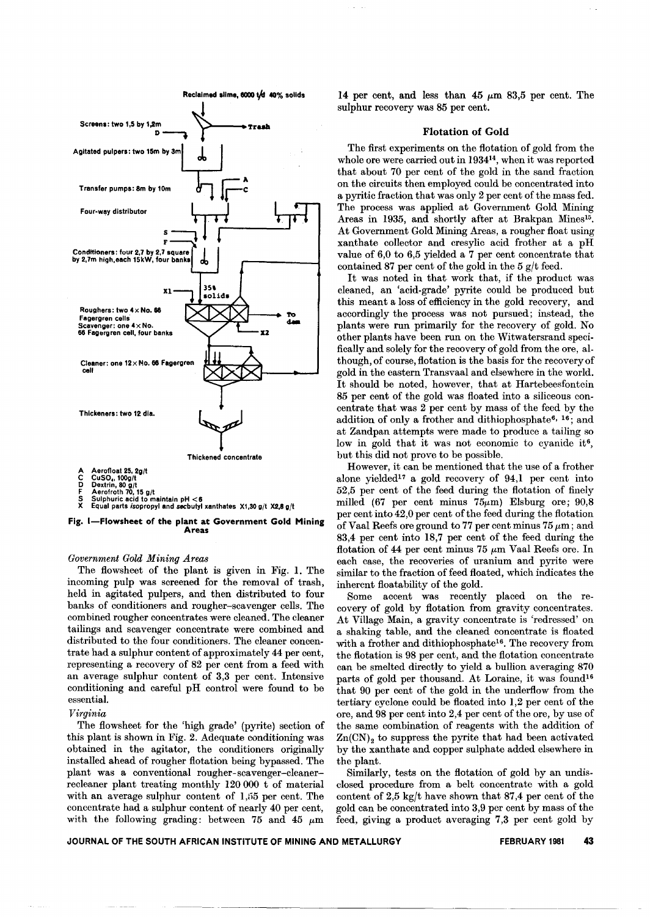



# *Government Gold Mining Areas*

The flowsheet of the plant is given in Fig. 1. The incoming pulp was screened for the removal of trash, held in agitated pulpers, and then distributed to four banks of conditioners and rougher-scavenger cells. The combined rougher concentrates were cleaned. The cleaner tailings and scavenger concentrate were combined and distributed to the four conditioners. The cleaner concentrate had a sulphur content of approximately 44 per cent, representing a recovery of 82 per cent from a feed with an average sulphur content of 3,3 per cent. Intensive conditioning and careful pH control were found to be essential.

## *Virginia*

The flowsheet for the 'high grade' (pyrite) section of this plant is shown in Fig. 2. Adequate conditioning was obtained in the agitator, the conditioners originally installed ahead of rougher flotation being bypassed. The plant was a conventional rougher-scavenger-cleanerrecleaner plant treating monthly 120 000 t of material with an average sulphur content of  $1,55$  per cent. The concentrate had a sulphur content of nearly 40 per cent, with the following grading: between 75 and 45  $\mu$ m 14 per cent, and less than  $45 \mu m$  83,5 per cent. The sulphur recovery was 85 per cent.

## Flotation of Gold

The first experiments on the flotation of gold from the whole ore were carried out in 193414, when it was reported that about 70 per cent of the gold in the sand fraction on the circuits then employed could be concentrated into a pyritic fraction that was only 2 per cent of the mass fed. The process was applied at Government Gold Mining Areas in 1935, and shortly after at Brakpan Mines<sup>15</sup>. At Government Gold Mining Areas, a rougher float using xanthate collector and cresylic acid frother at a pH value of 6,0 to 6,5 yielded a 7 per cent concentrate that contained 87 per cent of the gold in the  $5$  g/t feed.

It was noted in that work that, if the product was cleaned, an 'acid-grade' pyrite could be produced but this meant a loss of efficiency in the gold recovery, and accordingly the process was not pursued; instead, the plants were run primarily for the recovery of gold. No other plants have been run on the Witwatersrand specifically and solely for the recovery of gold from the ore, although, of course, flotation is the basis for the recovery of gold in the eastern Transvaal and elsewhere in the world. It should be noted, however, that at Hartebeesfontein 85 per cent of the gold was floated into a siliceous concentrate that was 2 per cent by mass of the feed by the addition of only a frother and dithiophosphate<sup>6, 16</sup>; and at Zandpan attempts were made to produce a tailing so low in gold that it was not economic to cyanide it<sup>6</sup>, but this did not prove to be possible.

However, it can be mentioned that the use of a frother alone yielded17 a gold recovery of 94,1 per cent into 52,5 per cent of the feed during the flotation of finely milled (67 per cent minus  $75\mu$ m) Elsburg ore; 90,8 per cent into 42,0 per cent of the feed during the flotation of Vaal Reefs ore ground to 77 per cent minus  $75 \mu m$ ; and 83,4 per cent into 18,7 per cent of the feed during the flotation of 44 per cent minus 75  $\mu$ m Vaal Reefs ore. In each case, the recoveries of uranium and pyrite were similar to the fraction of feed floated, which indicates the inherent floatability of the gold.

Some accent was recently placed on the recovery of gold by flotation from gravity concentrates. At Village Main, a gravity concentrate is 'redressed' on a shaking table, and the cleaned concentrate is floated with a frother and dithiophosphate<sup>16</sup>. The recovery from the flotation is 98 per cent, and the flotation concentrate can be smelted directly to yield a bullion averaging 870 parts of gold per thousand. At Loraine, it was found<sup>16</sup> that 90 per cent of the gold in the underflow from the tertiary cyclone could be floated into 1,2 per cent of the ore, and 98 per cent into 2,4 per cent of the ore, by use of the same combination of reagents with the addition of  $Zn(CN)<sub>2</sub>$  to suppress the pyrite that had been activated by the xanthate and copper sulphate added elsewhere in the plant.

Similarly, tests on the flotation of gold by an undisclosed procedure from a belt concentrate with a gold content of 2,5 kgjt have shown that 87,4 per cent of the gold can be concentrated into 3,9 per cent by mass of the feed, giving a product averaging 7,3 per cent gold by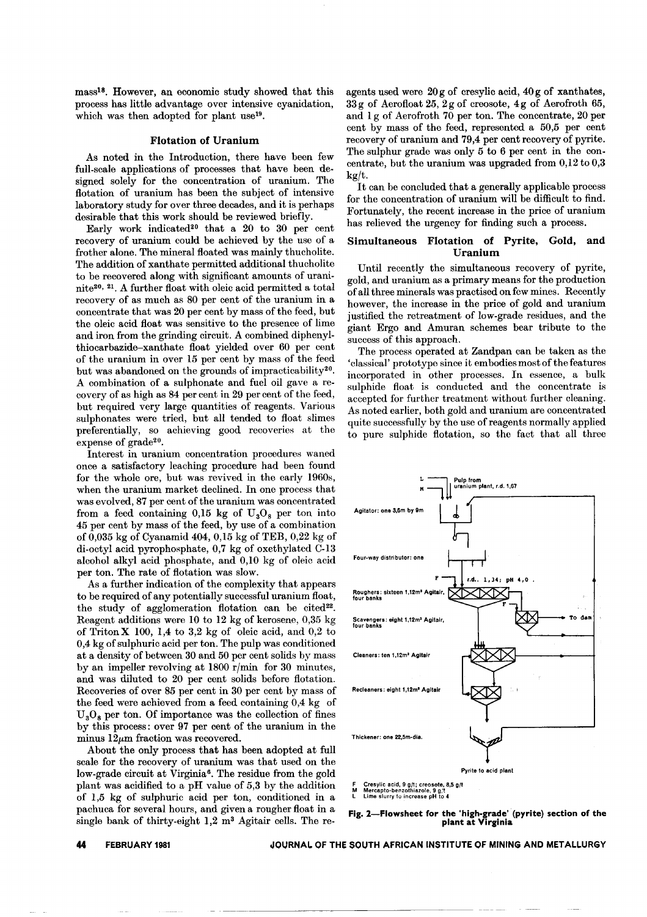mass<sup>18</sup>. However, an economic study showed that this process has little advantage over intensive cyanidation, which was then adopted for plant use<sup>19</sup>.

## Flotation of Uranium

As noted in the Introduction, there have been few full-scale applications of processes that have been designed solely for the concentration of uranium. The flotation of uranium has been the subject of intensive laboratory study for over three decades, and it is perhaps desirable that this work should be reviewed briefly.

Early work indicated<sup>20</sup> that a 20 to 30 per cent recovery of uranium could be achieved by the use of a frother alone. The mineral floated was mainly thucholite. The addition of xanthate permitted additional thucholite to be recovered along with significant amounts of uraninite2°, 21.A further float with oleic acid permitted a total recovery of as much as 80 per cent of the uranium in a concentrate that was 20 per cent by mass of the feed, but the oleic acid float was sensitive to the presence of lime and iron from the grinding circuit. A combined diphenylthiocarbazide-xanthate float yielded over 60 per cent of the uranium in over 15 per cent by mass of the feed but was abandoned on the grounds of impracticability<sup>20</sup>. A combination of a sulphonate and fuel oil gave a recovery of as high as 84 per cent in 29 per cent of the feed, but required very large quantities of reagents. Various sulphonates were tried, but all tended to float slimes preferentially, so achieving good recoveries at the expense of grade<sup>20</sup>.

Interest in uranium concentration procedures waned once a satisfactory leaching procedure had been found for the whole ore, but was revived in the early 1960s, when the uranium market declined. In one process that was evolved, 87 per cent of the uranium was concentrated from a feed containing  $0,15$  kg of  $U_3O_8$  per ton into 45 per cent by mass of the feed, by use of a combination of 0,035 kg of Cyanamid 404, 0,15 kg of TEB, 0,22 kg of di-octyl acid pyrophosphate, 0,7 kg of oxethylated C-13 alcohol alkyl acid phosphate, and 0,10 kg of oleic acid per ton. The rate of flotation was slow.

As a further indication of the complexity that appears to be required of any potentially successful uranium float, the study of agglomeration flotation can be cited<sup>22</sup>. Reagent additions were 10 to 12 kg of kerosene, 0,35 kg of Triton  $X$  100, 1,4 to 3,2 kg of oleic acid, and 0,2 to 0,4 kg of sulphuric acid per ton. The pulp was conditioned at a density of between 30 and 50 per cent solids by mass by an impeller revolving at 1800  $r/min$  for 30 minutes, and was diluted to 20 per cent solids before flotation. Recoveries of over 85 per cent in 30 per cent by mass of the feed were achieved from a feed containing 0,4 kg of  $U_{3}O_{8}$  per ton. Of importance was the collection of fines by this process: over 97 per cent of the uranium in the minus  $12\mu$ m fraction was recovered.

About the only process that has been adopted at full scale for the recovery of uranium was that used on the low-grade circuit at Virginia<sup>6</sup>. The residue from the gold plant was acidified to a pH value of 5,3 by the addition of 1,5 kg of sulphuric acid per ton, conditioned in a pachuca for several hours, and given a rougher float in a single bank of thirty-eight  $1,2$  m<sup>3</sup> Agitair cells. The reagents used were 20 g of cresylic acid, 40 g of xanthates, 33 g of Aerofloat 25, 2 g of creosote, 4 g of Aerofroth 65, and 1 g of Aerofroth 70 per ton. The concentrate, 20 per cent by mass of the feed, represented a 50,5 per cent recovery of uranium and 79,4 per cent recovery of pyrite. The sulphur grade was only 5 to 6 per cent in the con. centrate, but the uranium was upgraded from  $0,12$  to  $0,3$  $k\alpha/t$ .

It can be concluded that a generally applicable process for the concentration of uranium will be difficult to find. Fortunately, the recent increase in the price of uranium has relieved the urgency for finding such a process.

## Simultaneous Flotation of Pyrite, Gold, and Uranium

Until recently the simultaneous recovery of pyrite, gold, and uranium as a primary means for the production of all three minerals was practised on few mines. Recently however, the increase in the price of gold and uranium justified the retreatment of low-grade residues, and the giant Ergo and Amuran schemes bear tribute to the success of this approach.

The process operated at Zandpan can be taken as the 'classical' prototype since it embodies most of the features incorporated in other processes. In essence, a bulk sulphide float is conducted and the concentrate is accepted for further treatment without further cleaning. As noted earlier, both gold and uranium are concentrated quite successfully by the use of reagents normally applied to pure sulphide flotation, so the fact that all three



Fig. 2-Flowsheet for the 'high-grade' (pyrite) section of the plant at Virginia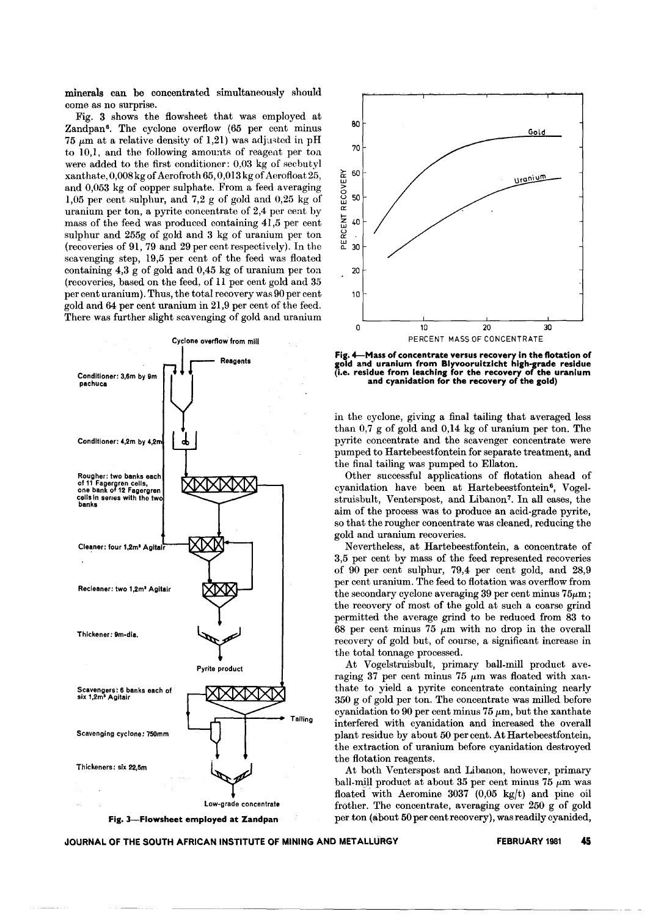minerals can be concentrated simultaneously should come as no surprise.

Fig. 3 shows the flowsheet that was employed at Zandpan<sup>6</sup>. The cyclone overflow (65 per cent minus 75  $\mu$ m at a relative density of 1,21) was adjusted in pH to 10,1, and the following amounts of reagent per ton were added to the first conditioner: 0,03 kg of secbutyl xanthate, 0,008 kg of Aerofroth 65, 0,013kg of Aerofloat25, and 0,053 kg of copper sulphate. From a feed averaging 1,05 per cent sulphur, and 7,2 g of gold and 0,25 kg of uranium per ton, a pyrite concentrate of 2,4 per cent by mass of the feed was produced containing 41,5 per cent sulphur and 255g of gold and 3 kg of uranium per ton (recoveries of 91,79 and 29 per cent respectively). In the scavenging step, 19,5 per cent of the feed was floated containing 4,3 g of gold and 0,45 kg of uranium per ton (recoveries, based on the feed, of 11 per cent gold and 35 per cent uranium). Thus, the total recovery was 90 per cent gold and 64 per cent uranium in 21,9 per cent of the feed. There was further slight scavenging of gold and uranium



Fig. 3-Flowsheet employed at Zandpan



Fig. 4-Mass of concentrate versus recovery in the flotation of gold and uranium from Blyvooruitzicht high-grade residue (i.e. residue from leaching for the recovery of the uraniu and cyanidation for the recovery of the gold)

in the cyclone, giving a final tailing that averaged less than 0,7 g of gold and 0,14 kg of uranium per ton. The pyrite concentrate and the scavenger concentrate were pumped to Hartebeestfontein for separate treatment, and the final tailing was pumped to Ellaton.

Other successful applications of flotation ahead of cyanidation have been at Hartebeestfontein<sup>6</sup>, Vogelstruisbult, Venterspost, and Libanon7. In all cases, the aim of the process was to produce an acid-grade pyrite, so that the rougher concentrate was cleaned, reducing the gold and uranium recoveries.

Nevertheless, at Hartebeestfontein, a concentrate of 3,5 per cent by mass of the feed represented recoveries of 90 per cent sulphur, 79,4 per cent gold, and 28,9 per cent uranium. The feed to flotation was overflow from the secondary cyclone averaging  $39$  per cent minus  $75\mu$ m; the recovery of most of the gold at such a coarse grind permitted the average grind to be reduced from 83 to 68 per cent minus 75  $\mu$ m with no drop in the overall recovery of gold but, of course, a significant increase in the total tonnage processed.

At Vogelstruisbult, primary ball-mill product averaging 37 per cent minus 75  $\mu$ m was floated with xanthate to yield a pyrite concentrate containing nearly 350 g of gold per ton. The concentrate was milled before cyanidation to 90 per cent minus 75  $\mu$ m, but the xanthate interfered with cyanidation and increased the overall plant residue by about 50 per cent. At Hartebeestfontein, the extraction of uranium before cyanidation destroyed the flotation reagents.

At both Venterspost and Libanon, however, primary ball-mill product at about 35 per cent minus  $75 \mu m$  was floated' with Aeromine 3037 (0,05 *kgjt)* and pine oil frother. The concentrate, averaging over 250 g of gold per ton (about 50 per cent recovery), was readily cyanided,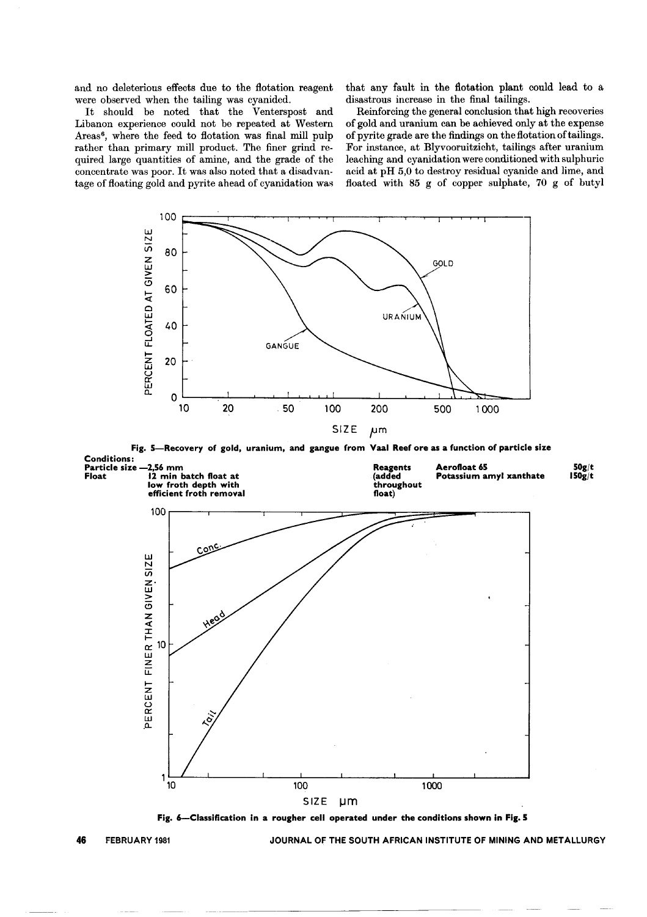and no deleterious effects due to the flotation reagent were observed when the tailing was cyanided.

It should be noted that the Venterspost and Libanon experience could not be repeated at Western Areas<sup>6</sup>, where the feed to flotation was final mill pulp rather than primary mill product. The finer grind required large quantities of amine, and the grade of the concentrate was poor. It was also noted that a disadvantage of floating gold and pyrite ahead of cyanidation was

that any fault in the flotation plant could lead to a disastrous increase in the final tailings.

Reinforcing the general conclusion that high recoveries of gold and uranium can be achieved only at the expense of pyrite grade are the findings on the flotation oftailings. For instance, at Blyvooruitzicht, tailings after uranium leaching and cyanidation were conditioned with sulphuric acid at pH 5,0 to destroy residual cyanide and lime, and floated with 85 g of copper sulphate, 70 g of butyl



Fig. 5-Recovery of gold, uranium, and gangue from Vaal Reef ore as a function of particle size Conditions:



Fig. 6-Classification in a rougher cell operated under the conditions shown in Fig. 5